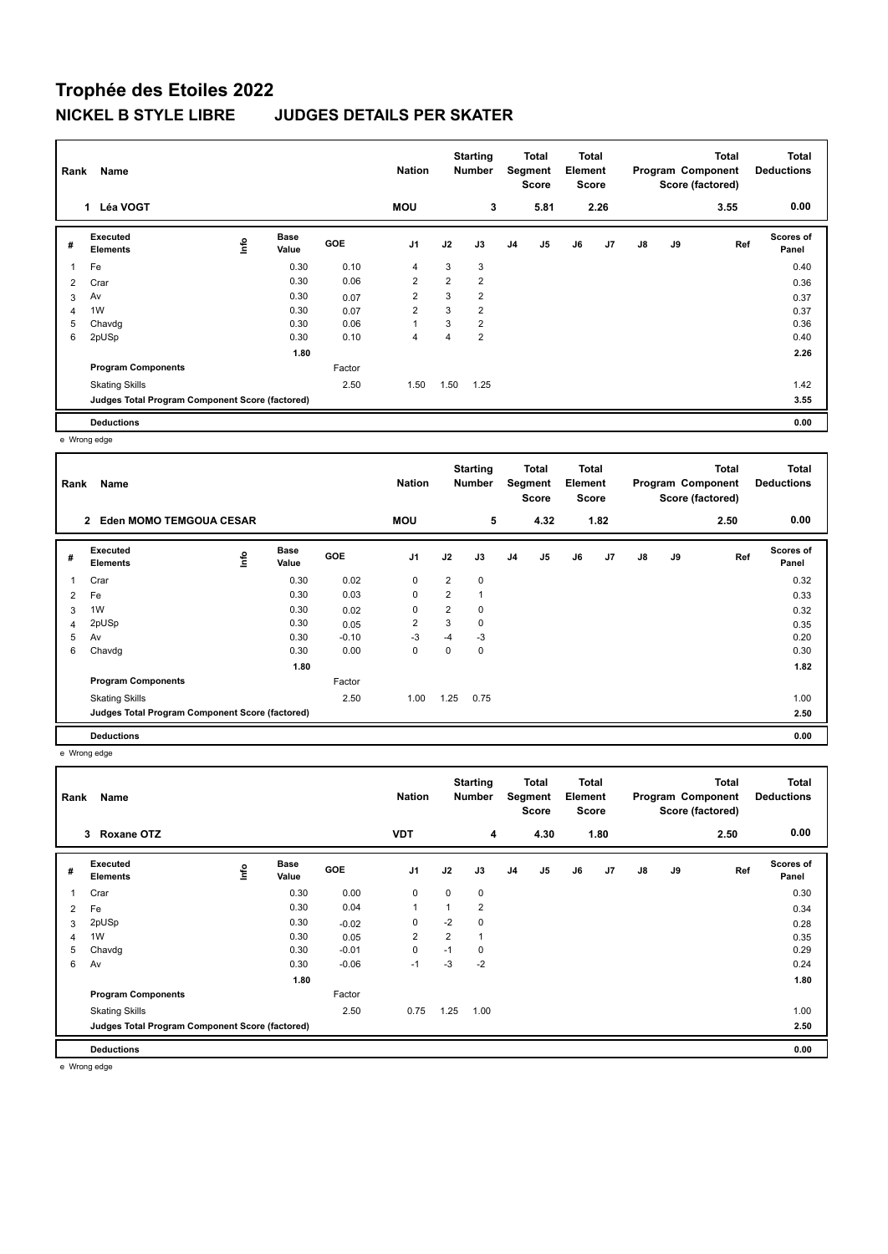## **Trophée des Etoiles 2022 NICKEL B STYLE LIBRE JUDGES DETAILS PER SKATER**

| Rank | Name                                            |    |                      |            | <b>Nation</b>  |      | <b>Starting</b><br><b>Number</b> |                | Total<br>Segment<br>Score | Total<br>Element<br><b>Score</b> |      |               |    | <b>Total</b><br>Program Component<br>Score (factored) | <b>Total</b><br><b>Deductions</b> |
|------|-------------------------------------------------|----|----------------------|------------|----------------|------|----------------------------------|----------------|---------------------------|----------------------------------|------|---------------|----|-------------------------------------------------------|-----------------------------------|
|      | 1 Léa VOGT                                      |    |                      |            | <b>MOU</b>     |      | 3                                |                | 5.81                      |                                  | 2.26 |               |    | 3.55                                                  | 0.00                              |
| #    | Executed<br><b>Elements</b>                     | ۴ů | <b>Base</b><br>Value | <b>GOE</b> | J <sub>1</sub> | J2   | J3                               | J <sub>4</sub> | J5                        | J6                               | J7   | $\mathsf{J}8$ | J9 | Ref                                                   | <b>Scores of</b><br>Panel         |
| 1    | Fe                                              |    | 0.30                 | 0.10       | 4              | 3    | 3                                |                |                           |                                  |      |               |    |                                                       | 0.40                              |
| 2    | Crar                                            |    | 0.30                 | 0.06       | $\overline{2}$ | 2    | $\overline{2}$                   |                |                           |                                  |      |               |    |                                                       | 0.36                              |
| 3    | Av                                              |    | 0.30                 | 0.07       | $\overline{2}$ | 3    | $\overline{2}$                   |                |                           |                                  |      |               |    |                                                       | 0.37                              |
| 4    | 1W                                              |    | 0.30                 | 0.07       | 2              | 3    | $\overline{2}$                   |                |                           |                                  |      |               |    |                                                       | 0.37                              |
| 5    | Chavdg                                          |    | 0.30                 | 0.06       | 1              | 3    | $\overline{2}$                   |                |                           |                                  |      |               |    |                                                       | 0.36                              |
| 6    | 2pUSp                                           |    | 0.30                 | 0.10       | 4              | 4    | $\overline{2}$                   |                |                           |                                  |      |               |    |                                                       | 0.40                              |
|      |                                                 |    | 1.80                 |            |                |      |                                  |                |                           |                                  |      |               |    |                                                       | 2.26                              |
|      | <b>Program Components</b>                       |    |                      | Factor     |                |      |                                  |                |                           |                                  |      |               |    |                                                       |                                   |
|      | <b>Skating Skills</b>                           |    |                      | 2.50       | 1.50           | 1.50 | 1.25                             |                |                           |                                  |      |               |    |                                                       | 1.42                              |
|      | Judges Total Program Component Score (factored) |    |                      |            |                |      |                                  |                |                           |                                  |      |               |    |                                                       | 3.55                              |
|      | <b>Deductions</b>                               |    |                      |            |                |      |                                  |                |                           |                                  |      |               |    |                                                       | 0.00                              |

e Wrong edge

| Rank | Name                                            |                                  |                      |            | <b>Nation</b>  |                | <b>Starting</b><br><b>Number</b> | Total<br>Segment<br><b>Score</b> |                | <b>Total</b><br>Element<br><b>Score</b> |      |    |    | <b>Total</b><br>Program Component<br>Score (factored) | <b>Total</b><br><b>Deductions</b> |
|------|-------------------------------------------------|----------------------------------|----------------------|------------|----------------|----------------|----------------------------------|----------------------------------|----------------|-----------------------------------------|------|----|----|-------------------------------------------------------|-----------------------------------|
|      | <b>Eden MOMO TEMGOUA CESAR</b><br>$\mathbf{2}$  |                                  |                      |            | <b>MOU</b>     |                | 5                                |                                  | 4.32           |                                         | 1.82 |    |    | 2.50                                                  | 0.00                              |
| #    | Executed<br><b>Elements</b>                     | $\mathop{\mathsf{Irr}}\nolimits$ | <b>Base</b><br>Value | <b>GOE</b> | J <sub>1</sub> | J2             | J3                               | J <sub>4</sub>                   | J <sub>5</sub> | J6                                      | J7   | J8 | J9 | Ref                                                   | Scores of<br>Panel                |
| 1    | Crar                                            |                                  | 0.30                 | 0.02       | 0              | $\overline{2}$ | 0                                |                                  |                |                                         |      |    |    |                                                       | 0.32                              |
| 2    | Fe                                              |                                  | 0.30                 | 0.03       | 0              | 2              | $\mathbf 1$                      |                                  |                |                                         |      |    |    |                                                       | 0.33                              |
| 3    | 1W                                              |                                  | 0.30                 | 0.02       | 0              | $\overline{2}$ | 0                                |                                  |                |                                         |      |    |    |                                                       | 0.32                              |
| 4    | 2pUSp                                           |                                  | 0.30                 | 0.05       | 2              | 3              | 0                                |                                  |                |                                         |      |    |    |                                                       | 0.35                              |
| 5    | Av                                              |                                  | 0.30                 | $-0.10$    | $-3$           | $-4$           | -3                               |                                  |                |                                         |      |    |    |                                                       | 0.20                              |
| 6    | Chavdg                                          |                                  | 0.30                 | 0.00       | 0              | 0              | 0                                |                                  |                |                                         |      |    |    |                                                       | 0.30                              |
|      |                                                 |                                  | 1.80                 |            |                |                |                                  |                                  |                |                                         |      |    |    |                                                       | 1.82                              |
|      | <b>Program Components</b>                       |                                  |                      | Factor     |                |                |                                  |                                  |                |                                         |      |    |    |                                                       |                                   |
|      | <b>Skating Skills</b>                           |                                  |                      | 2.50       | 1.00           | 1.25           | 0.75                             |                                  |                |                                         |      |    |    |                                                       | 1.00                              |
|      | Judges Total Program Component Score (factored) |                                  |                      |            |                |                |                                  |                                  |                |                                         |      |    |    |                                                       | 2.50                              |
|      | <b>Deductions</b>                               |                                  |                      |            |                |                |                                  |                                  |                |                                         |      |    |    |                                                       | 0.00                              |

e Wrong edge

|                | Name<br>Rank                                    |    |               |            | <b>Nation</b>  |      | <b>Starting</b><br><b>Number</b> |                | Total<br>Segment<br><b>Score</b> | Total<br>Element<br><b>Score</b> |                |               |    | <b>Total</b><br>Program Component<br>Score (factored) | <b>Total</b><br><b>Deductions</b> |
|----------------|-------------------------------------------------|----|---------------|------------|----------------|------|----------------------------------|----------------|----------------------------------|----------------------------------|----------------|---------------|----|-------------------------------------------------------|-----------------------------------|
|                | Roxane OTZ<br>3                                 |    |               |            | <b>VDT</b>     |      | 4                                |                | 4.30                             |                                  | 1.80           |               |    | 2.50                                                  | 0.00                              |
| #              | Executed<br><b>Elements</b>                     | ۴ů | Base<br>Value | <b>GOE</b> | J <sub>1</sub> | J2   | J3                               | J <sub>4</sub> | J <sub>5</sub>                   | J6                               | J <sub>7</sub> | $\mathsf{J}8$ | J9 | Ref                                                   | <b>Scores of</b><br>Panel         |
|                | Crar                                            |    | 0.30          | 0.00       | 0              | 0    | 0                                |                |                                  |                                  |                |               |    |                                                       | 0.30                              |
| 2              | Fe                                              |    | 0.30          | 0.04       | $\mathbf{1}$   | 1    | $\overline{2}$                   |                |                                  |                                  |                |               |    |                                                       | 0.34                              |
| 3              | 2pUSp                                           |    | 0.30          | $-0.02$    | 0              | $-2$ | 0                                |                |                                  |                                  |                |               |    |                                                       | 0.28                              |
| $\overline{4}$ | 1W                                              |    | 0.30          | 0.05       | 2              | 2    | 1                                |                |                                  |                                  |                |               |    |                                                       | 0.35                              |
| 5              | Chavdg                                          |    | 0.30          | $-0.01$    | $\pmb{0}$      | $-1$ | 0                                |                |                                  |                                  |                |               |    |                                                       | 0.29                              |
| 6              | Av                                              |    | 0.30          | $-0.06$    | $-1$           | $-3$ | $-2$                             |                |                                  |                                  |                |               |    |                                                       | 0.24                              |
|                |                                                 |    | 1.80          |            |                |      |                                  |                |                                  |                                  |                |               |    |                                                       | 1.80                              |
|                | <b>Program Components</b>                       |    |               | Factor     |                |      |                                  |                |                                  |                                  |                |               |    |                                                       |                                   |
|                | <b>Skating Skills</b>                           |    |               | 2.50       | 0.75           | 1.25 | 1.00                             |                |                                  |                                  |                |               |    |                                                       | 1.00                              |
|                | Judges Total Program Component Score (factored) |    |               |            |                |      |                                  |                |                                  |                                  |                |               |    |                                                       | 2.50                              |
|                | <b>Deductions</b>                               |    |               |            |                |      |                                  |                |                                  |                                  |                |               |    |                                                       | 0.00                              |

e Wrong edge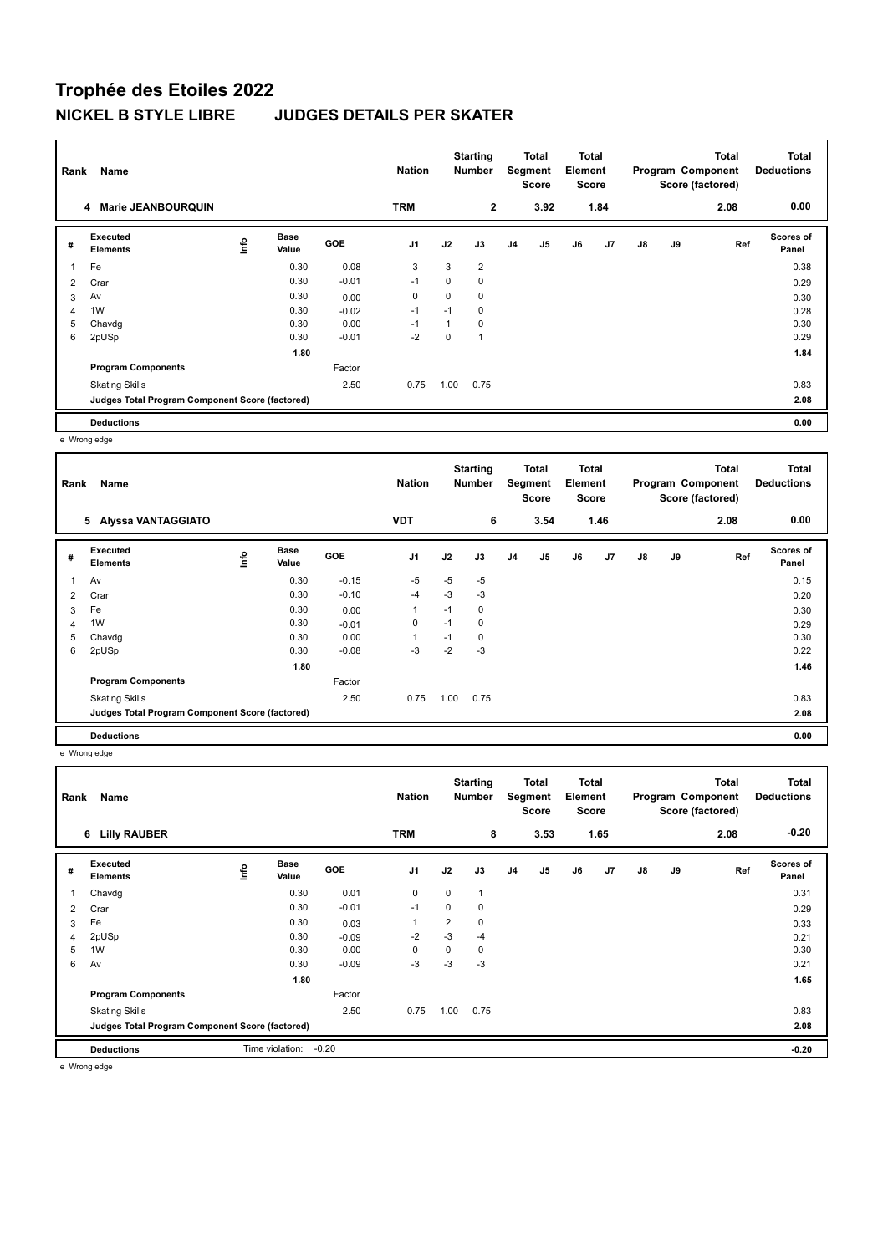## **Trophée des Etoiles 2022 NICKEL B STYLE LIBRE JUDGES DETAILS PER SKATER**

| Rank | Name                                            |   |                      | <b>Nation</b> |                | <b>Starting</b><br><b>Number</b> |                | <b>Total</b><br>Segment<br><b>Score</b> |      | Total<br>Element<br><b>Score</b> |      |               | <b>Total</b><br>Program Component<br>Score (factored) | <b>Total</b><br><b>Deductions</b> |                           |
|------|-------------------------------------------------|---|----------------------|---------------|----------------|----------------------------------|----------------|-----------------------------------------|------|----------------------------------|------|---------------|-------------------------------------------------------|-----------------------------------|---------------------------|
|      | 4 Marie JEANBOURQUIN                            |   |                      |               | <b>TRM</b>     |                                  | $\mathbf{2}$   |                                         | 3.92 |                                  | 1.84 |               |                                                       | 2.08                              | 0.00                      |
| #    | Executed<br><b>Elements</b>                     | 울 | <b>Base</b><br>Value | <b>GOE</b>    | J <sub>1</sub> | J2                               | J3             | J <sub>4</sub>                          | J5   | J6                               | J7   | $\mathsf{J}8$ | J9                                                    | Ref                               | <b>Scores of</b><br>Panel |
| 1    | Fe                                              |   | 0.30                 | 0.08          | 3              | 3                                | $\overline{2}$ |                                         |      |                                  |      |               |                                                       |                                   | 0.38                      |
| 2    | Crar                                            |   | 0.30                 | $-0.01$       | $-1$           | 0                                | 0              |                                         |      |                                  |      |               |                                                       |                                   | 0.29                      |
| 3    | Av                                              |   | 0.30                 | 0.00          | 0              | 0                                | 0              |                                         |      |                                  |      |               |                                                       |                                   | 0.30                      |
| 4    | 1W                                              |   | 0.30                 | $-0.02$       | $-1$           | $-1$                             | 0              |                                         |      |                                  |      |               |                                                       |                                   | 0.28                      |
| 5    | Chavdg                                          |   | 0.30                 | 0.00          | $-1$           |                                  | 0              |                                         |      |                                  |      |               |                                                       |                                   | 0.30                      |
| 6    | 2pUSp                                           |   | 0.30                 | $-0.01$       | $-2$           | 0                                | $\overline{1}$ |                                         |      |                                  |      |               |                                                       |                                   | 0.29                      |
|      |                                                 |   | 1.80                 |               |                |                                  |                |                                         |      |                                  |      |               |                                                       |                                   | 1.84                      |
|      | <b>Program Components</b>                       |   |                      | Factor        |                |                                  |                |                                         |      |                                  |      |               |                                                       |                                   |                           |
|      | <b>Skating Skills</b>                           |   |                      | 2.50          | 0.75           | 1.00                             | 0.75           |                                         |      |                                  |      |               |                                                       |                                   | 0.83                      |
|      | Judges Total Program Component Score (factored) |   |                      |               |                |                                  |                |                                         |      |                                  |      |               |                                                       |                                   | 2.08                      |
|      | <b>Deductions</b>                               |   |                      |               |                |                                  |                |                                         |      |                                  |      |               |                                                       |                                   | 0.00                      |

e Wrong edge

| Rank           | Name                                            |                                  |                      | <b>Nation</b> |                | <b>Starting</b><br><b>Number</b> |             | <b>Total</b><br>Segment<br><b>Score</b> |                | Total<br>Element<br><b>Score</b><br>1.46 |    |    | Total<br>Program Component<br>Score (factored) | <b>Total</b><br><b>Deductions</b> |                    |
|----------------|-------------------------------------------------|----------------------------------|----------------------|---------------|----------------|----------------------------------|-------------|-----------------------------------------|----------------|------------------------------------------|----|----|------------------------------------------------|-----------------------------------|--------------------|
|                | 5 Alyssa VANTAGGIATO                            |                                  |                      |               | <b>VDT</b>     |                                  | 6           |                                         | 3.54           |                                          |    |    |                                                | 2.08                              | 0.00               |
| #              | Executed<br><b>Elements</b>                     | $\mathop{\mathsf{Irr}}\nolimits$ | <b>Base</b><br>Value | <b>GOE</b>    | J <sub>1</sub> | J2                               | J3          | J <sub>4</sub>                          | J <sub>5</sub> | J6                                       | J7 | J8 | J9                                             | Ref                               | Scores of<br>Panel |
| 1              | Av                                              |                                  | 0.30                 | $-0.15$       | $-5$           | $-5$                             | $-5$        |                                         |                |                                          |    |    |                                                |                                   | 0.15               |
| $\overline{2}$ | Crar                                            |                                  | 0.30                 | $-0.10$       | $-4$           | $-3$                             | -3          |                                         |                |                                          |    |    |                                                |                                   | 0.20               |
| 3              | Fe                                              |                                  | 0.30                 | 0.00          | 1              | $-1$                             | $\mathbf 0$ |                                         |                |                                          |    |    |                                                |                                   | 0.30               |
| $\overline{4}$ | 1W                                              |                                  | 0.30                 | $-0.01$       | 0              | $-1$                             | 0           |                                         |                |                                          |    |    |                                                |                                   | 0.29               |
| 5              | Chavdg                                          |                                  | 0.30                 | 0.00          | 1              | $-1$                             | 0           |                                         |                |                                          |    |    |                                                |                                   | 0.30               |
| 6              | 2pUSp                                           |                                  | 0.30                 | $-0.08$       | $-3$           | $-2$                             | -3          |                                         |                |                                          |    |    |                                                |                                   | 0.22               |
|                |                                                 |                                  | 1.80                 |               |                |                                  |             |                                         |                |                                          |    |    |                                                |                                   | 1.46               |
|                | <b>Program Components</b>                       |                                  |                      | Factor        |                |                                  |             |                                         |                |                                          |    |    |                                                |                                   |                    |
|                | <b>Skating Skills</b>                           |                                  |                      | 2.50          | 0.75           | 1.00                             | 0.75        |                                         |                |                                          |    |    |                                                |                                   | 0.83               |
|                | Judges Total Program Component Score (factored) |                                  |                      |               |                |                                  |             |                                         |                |                                          |    |    |                                                |                                   | 2.08               |
|                | <b>Deductions</b>                               |                                  |                      |               |                |                                  |             |                                         |                |                                          |    |    |                                                |                                   | 0.00               |

e Wrong edge

| Rank | Name                                            |      |                      |            | <b>Nation</b>  |                | <b>Starting</b><br><b>Number</b> |                | Total<br>Segment<br><b>Score</b> | Total<br>Element<br>Score |                |               |    | <b>Total</b><br>Program Component<br>Score (factored) | <b>Total</b><br><b>Deductions</b> |
|------|-------------------------------------------------|------|----------------------|------------|----------------|----------------|----------------------------------|----------------|----------------------------------|---------------------------|----------------|---------------|----|-------------------------------------------------------|-----------------------------------|
|      | <b>Lilly RAUBER</b><br>6                        |      |                      |            | <b>TRM</b>     |                | 8                                |                | 3.53                             |                           | 1.65           |               |    | 2.08                                                  | $-0.20$                           |
| #    | Executed<br><b>Elements</b>                     | lnfo | <b>Base</b><br>Value | <b>GOE</b> | J <sub>1</sub> | J2             | J3                               | J <sub>4</sub> | J5                               | J6                        | J <sub>7</sub> | $\mathsf{J}8$ | J9 | Ref                                                   | Scores of<br>Panel                |
| 1    | Chavdg                                          |      | 0.30                 | 0.01       | $\pmb{0}$      | $\mathbf 0$    | 1                                |                |                                  |                           |                |               |    |                                                       | 0.31                              |
| 2    | Crar                                            |      | 0.30                 | $-0.01$    | $-1$           | 0              | 0                                |                |                                  |                           |                |               |    |                                                       | 0.29                              |
| 3    | Fe                                              |      | 0.30                 | 0.03       |                | $\overline{2}$ | 0                                |                |                                  |                           |                |               |    |                                                       | 0.33                              |
| 4    | 2pUSp                                           |      | 0.30                 | $-0.09$    | $-2$           | $-3$           | $-4$                             |                |                                  |                           |                |               |    |                                                       | 0.21                              |
| 5    | 1W                                              |      | 0.30                 | 0.00       | 0              | 0              | 0                                |                |                                  |                           |                |               |    |                                                       | 0.30                              |
| 6    | Av                                              |      | 0.30                 | $-0.09$    | $-3$           | -3             | $-3$                             |                |                                  |                           |                |               |    |                                                       | 0.21                              |
|      |                                                 |      | 1.80                 |            |                |                |                                  |                |                                  |                           |                |               |    |                                                       | 1.65                              |
|      | <b>Program Components</b>                       |      |                      | Factor     |                |                |                                  |                |                                  |                           |                |               |    |                                                       |                                   |
|      | <b>Skating Skills</b>                           |      |                      | 2.50       | 0.75           | 1.00           | 0.75                             |                |                                  |                           |                |               |    |                                                       | 0.83                              |
|      | Judges Total Program Component Score (factored) |      |                      |            |                |                |                                  |                |                                  |                           |                |               |    |                                                       | 2.08                              |
|      | <b>Deductions</b>                               |      | Time violation:      | $-0.20$    |                |                |                                  |                |                                  |                           |                |               |    |                                                       | $-0.20$                           |

e Wrong edge